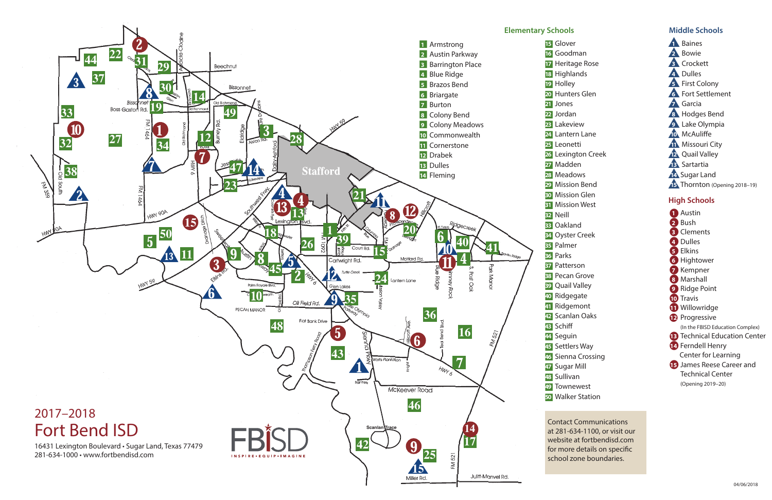- s **1** Baines
- s **2** Bowie
- s **3** Crockett
- s **4** Dulles
- **6** First Colony
- **6** Fort Settlement
- s **7** Garcia
- s **8** Hodges Bend
- **9** Lake Olympia
- **10** McAuliffe
- **11** Missouri City
- **12** Quail Valley
- **13** Sartartia
- s **14** Sugar Land
- **15** Thornton (Opening 2018–19)



֡֡֡֡֡֡֡

- 
- 
- 
- 
- 20 Hunters Glen
	-
	-
	-
	-
	-
- <mark>26</mark> Lexington Creek
	-
	-
	-
	-
	-
	-
	-
	-
	-
	-
	-
	-
	-
	-
	-
- n **42** Scanlan Oaks
	-
	-
	-
- 46 Sienna Crossing
	-
	-
	-
- **50** Walker Station

# **High Schools**

# **Middle Schools**

- l **1** Austin
- l **2** Bush
- l **3** Clements
- l **4** Dulles
- l **5** Elkins
- **6** Hightower
- **7** Kempner
- l **8** Marshall
- **9** Ridge Point
- l **10** Travis
- **11** Willowridge
- l **12** Progressive
- (In the FBISD Education Complex)
- **13** Technical Education Center
- l **14** Ferndell Henry
- Center for Learning
- **15** James Reese Career and Technical Center (Opening 2019–20)

Contact Communications at 281-634-1100, or visit our website at fortbendisd.com for more details on specific school zone boundaries.